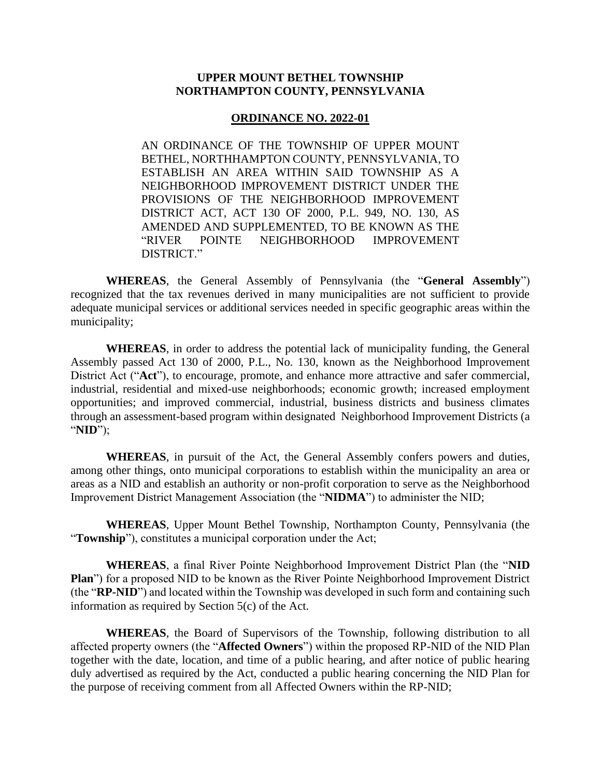## **UPPER MOUNT BETHEL TOWNSHIP NORTHAMPTON COUNTY, PENNSYLVANIA**

#### **ORDINANCE NO. 2022-01**

AN ORDINANCE OF THE TOWNSHIP OF UPPER MOUNT BETHEL, NORTHHAMPTON COUNTY, PENNSYLVANIA, TO ESTABLISH AN AREA WITHIN SAID TOWNSHIP AS A NEIGHBORHOOD IMPROVEMENT DISTRICT UNDER THE PROVISIONS OF THE NEIGHBORHOOD IMPROVEMENT DISTRICT ACT, ACT 130 OF 2000, P.L. 949, NO. 130, AS AMENDED AND SUPPLEMENTED, TO BE KNOWN AS THE "RIVER POINTE NEIGHBORHOOD IMPROVEMENT DISTRICT."

**WHEREAS**, the General Assembly of Pennsylvania (the "**General Assembly**") recognized that the tax revenues derived in many municipalities are not sufficient to provide adequate municipal services or additional services needed in specific geographic areas within the municipality;

**WHEREAS**, in order to address the potential lack of municipality funding, the General Assembly passed Act 130 of 2000, P.L., No. 130, known as the Neighborhood Improvement District Act ("**Act**"), to encourage, promote, and enhance more attractive and safer commercial, industrial, residential and mixed-use neighborhoods; economic growth; increased employment opportunities; and improved commercial, industrial, business districts and business climates through an assessment-based program within designated Neighborhood Improvement Districts (a "**NID**");

**WHEREAS**, in pursuit of the Act, the General Assembly confers powers and duties, among other things, onto municipal corporations to establish within the municipality an area or areas as a NID and establish an authority or non-profit corporation to serve as the Neighborhood Improvement District Management Association (the "**NIDMA**") to administer the NID;

**WHEREAS**, Upper Mount Bethel Township, Northampton County, Pennsylvania (the "**Township**"), constitutes a municipal corporation under the Act;

**WHEREAS**, a final River Pointe Neighborhood Improvement District Plan (the "**NID Plan**") for a proposed NID to be known as the River Pointe Neighborhood Improvement District (the "**RP-NID**") and located within the Township was developed in such form and containing such information as required by Section 5(c) of the Act.

**WHEREAS**, the Board of Supervisors of the Township, following distribution to all affected property owners (the "**Affected Owners**") within the proposed RP-NID of the NID Plan together with the date, location, and time of a public hearing, and after notice of public hearing duly advertised as required by the Act, conducted a public hearing concerning the NID Plan for the purpose of receiving comment from all Affected Owners within the RP-NID;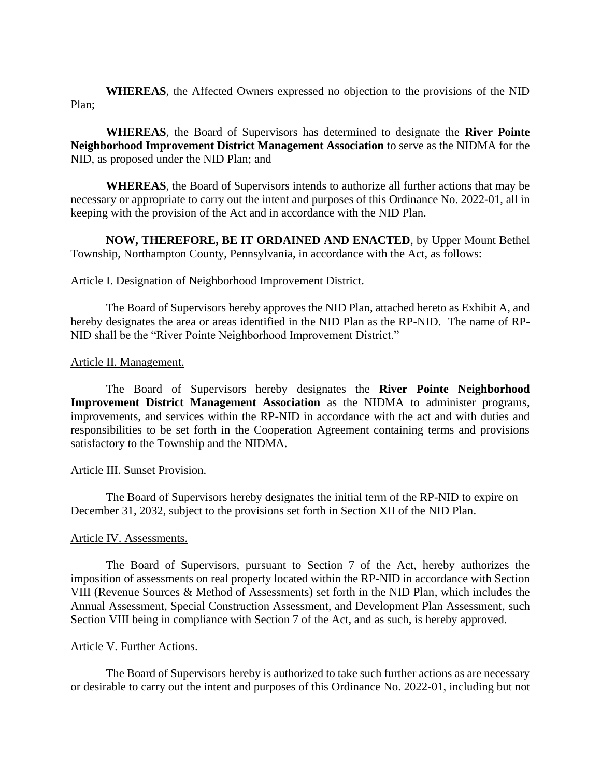**WHEREAS**, the Affected Owners expressed no objection to the provisions of the NID Plan;

**WHEREAS**, the Board of Supervisors has determined to designate the **River Pointe Neighborhood Improvement District Management Association** to serve as the NIDMA for the NID, as proposed under the NID Plan; and

**WHEREAS**, the Board of Supervisors intends to authorize all further actions that may be necessary or appropriate to carry out the intent and purposes of this Ordinance No. 2022-01, all in keeping with the provision of the Act and in accordance with the NID Plan.

**NOW, THEREFORE, BE IT ORDAINED AND ENACTED**, by Upper Mount Bethel Township, Northampton County, Pennsylvania, in accordance with the Act, as follows:

## Article I. Designation of Neighborhood Improvement District.

The Board of Supervisors hereby approves the NID Plan, attached hereto as Exhibit A, and hereby designates the area or areas identified in the NID Plan as the RP-NID. The name of RP-NID shall be the "River Pointe Neighborhood Improvement District."

#### Article II. Management.

The Board of Supervisors hereby designates the **River Pointe Neighborhood Improvement District Management Association** as the NIDMA to administer programs, improvements, and services within the RP-NID in accordance with the act and with duties and responsibilities to be set forth in the Cooperation Agreement containing terms and provisions satisfactory to the Township and the NIDMA.

#### Article III. Sunset Provision.

The Board of Supervisors hereby designates the initial term of the RP-NID to expire on December 31, 2032, subject to the provisions set forth in Section XII of the NID Plan.

## Article IV. Assessments.

The Board of Supervisors, pursuant to Section 7 of the Act, hereby authorizes the imposition of assessments on real property located within the RP-NID in accordance with Section VIII (Revenue Sources & Method of Assessments) set forth in the NID Plan, which includes the Annual Assessment, Special Construction Assessment, and Development Plan Assessment, such Section VIII being in compliance with Section 7 of the Act, and as such, is hereby approved.

#### Article V. Further Actions.

The Board of Supervisors hereby is authorized to take such further actions as are necessary or desirable to carry out the intent and purposes of this Ordinance No. 2022-01, including but not